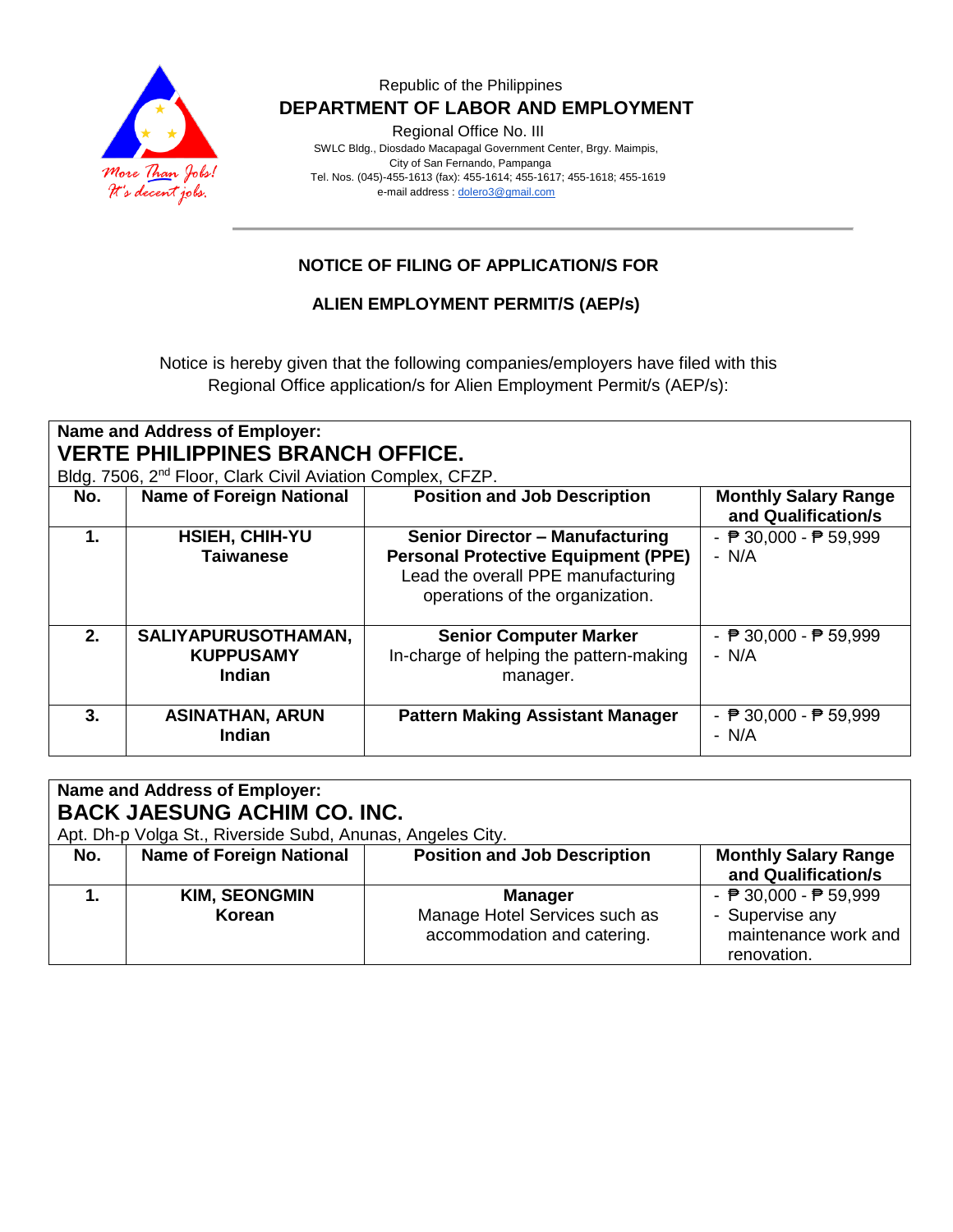

Regional Office No. III

 SWLC Bldg., Diosdado Macapagal Government Center, Brgy. Maimpis, City of San Fernando, Pampanga Tel. Nos. (045)-455-1613 (fax): 455-1614; 455-1617; 455-1618; 455-1619 e-mail address [: dolero3@gmail.com](mailto:dolero3@gmail.com)

## **NOTICE OF FILING OF APPLICATION/S FOR**

### **ALIEN EMPLOYMENT PERMIT/S (AEP/s)**

Notice is hereby given that the following companies/employers have filed with this Regional Office application/s for Alien Employment Permit/s (AEP/s):

| Name and Address of Employer:<br><b>VERTE PHILIPPINES BRANCH OFFICE.</b><br>Bldg. 7506, 2 <sup>nd</sup> Floor, Clark Civil Aviation Complex, CFZP. |                                                   |                                                                                                                                                               |                                                            |  |
|----------------------------------------------------------------------------------------------------------------------------------------------------|---------------------------------------------------|---------------------------------------------------------------------------------------------------------------------------------------------------------------|------------------------------------------------------------|--|
| No.                                                                                                                                                | <b>Name of Foreign National</b>                   | <b>Position and Job Description</b>                                                                                                                           | <b>Monthly Salary Range</b><br>and Qualification/s         |  |
| 1.                                                                                                                                                 | <b>HSIEH, CHIH-YU</b><br><b>Taiwanese</b>         | <b>Senior Director - Manufacturing</b><br><b>Personal Protective Equipment (PPE)</b><br>Lead the overall PPE manufacturing<br>operations of the organization. | - $\overline{P}$ 30,000 - $\overline{P}$ 59,999<br>$- N/A$ |  |
| 2.                                                                                                                                                 | SALIYAPURUSOTHAMAN,<br><b>KUPPUSAMY</b><br>Indian | <b>Senior Computer Marker</b><br>In-charge of helping the pattern-making<br>manager.                                                                          | - $\overline{P}$ 30,000 - $\overline{P}$ 59,999<br>$- N/A$ |  |
| 3.                                                                                                                                                 | <b>ASINATHAN, ARUN</b><br>Indian                  | <b>Pattern Making Assistant Manager</b>                                                                                                                       | - $\overline{P}$ 30,000 - $\overline{P}$ 59,999<br>$- N/A$ |  |

| <b>Name and Address of Employer:</b><br><b>BACK JAESUNG ACHIM CO. INC.</b><br>Apt. Dh-p Volga St., Riverside Subd, Anunas, Angeles City. |                                 |                                                                                |                                                                                                           |  |
|------------------------------------------------------------------------------------------------------------------------------------------|---------------------------------|--------------------------------------------------------------------------------|-----------------------------------------------------------------------------------------------------------|--|
| No.                                                                                                                                      | <b>Name of Foreign National</b> | <b>Position and Job Description</b>                                            | <b>Monthly Salary Range</b><br>and Qualification/s                                                        |  |
|                                                                                                                                          | <b>KIM, SEONGMIN</b><br>Korean  | <b>Manager</b><br>Manage Hotel Services such as<br>accommodation and catering. | - $\overline{P}$ 30,000 - $\overline{P}$ 59,999<br>- Supervise any<br>maintenance work and<br>renovation. |  |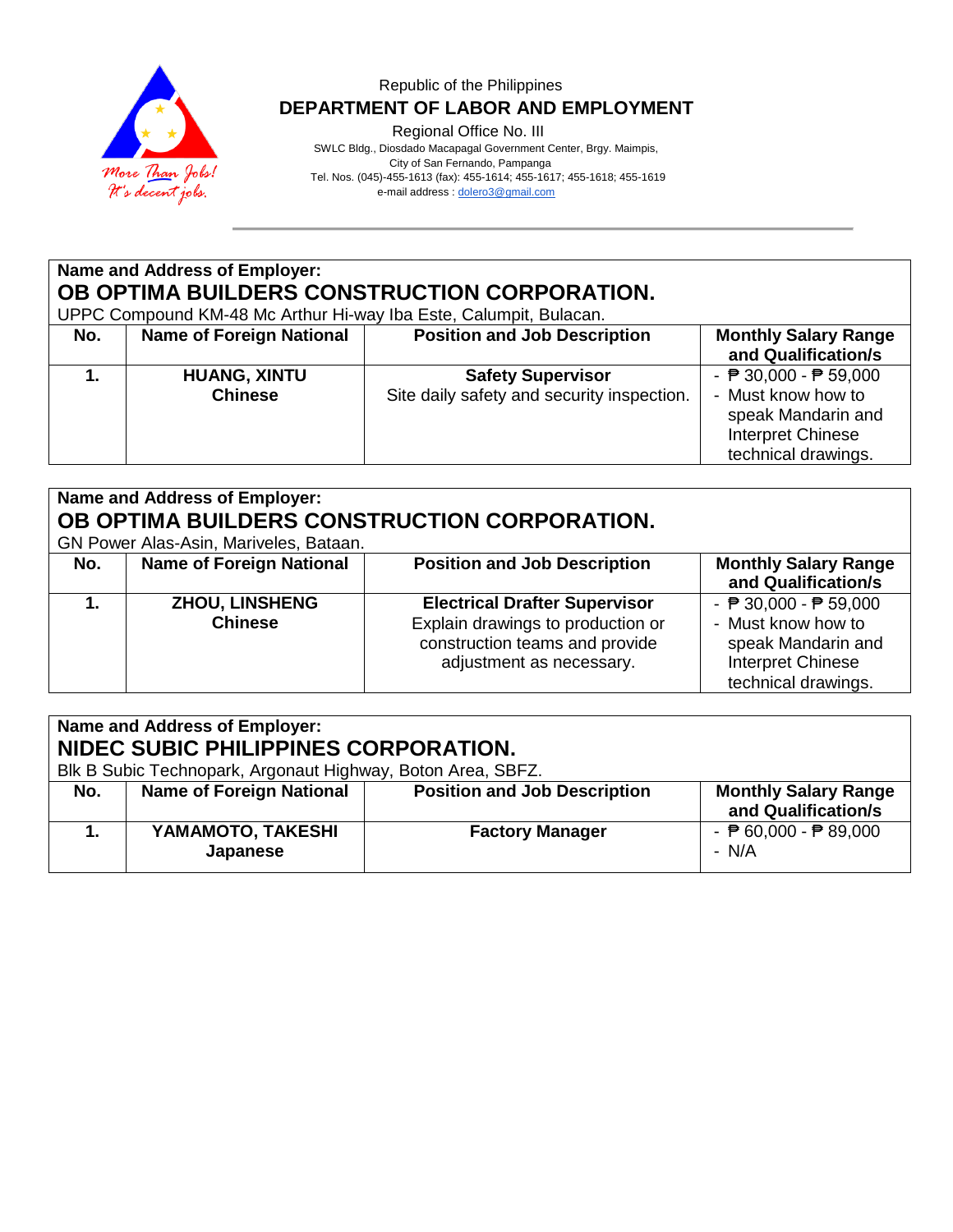

Regional Office No. III

 SWLC Bldg., Diosdado Macapagal Government Center, Brgy. Maimpis, City of San Fernando, Pampanga Tel. Nos. (045)-455-1613 (fax): 455-1614; 455-1617; 455-1618; 455-1619 e-mail address [: dolero3@gmail.com](mailto:dolero3@gmail.com)

# **Name and Address of Employer: OB OPTIMA BUILDERS CONSTRUCTION CORPORATION.**

UPPC Compound KM-48 Mc Arthur Hi-way Iba Este, Calumpit, Bulacan.

| No. | <b>Name of Foreign National</b>       | <b>Position and Job Description</b>                                    | <b>Monthly Salary Range</b><br>and Qualification/s                                                                                      |
|-----|---------------------------------------|------------------------------------------------------------------------|-----------------------------------------------------------------------------------------------------------------------------------------|
|     | <b>HUANG, XINTU</b><br><b>Chinese</b> | <b>Safety Supervisor</b><br>Site daily safety and security inspection. | - $\overline{P}$ 30,000 - $\overline{P}$ 59,000<br>- Must know how to<br>speak Mandarin and<br>Interpret Chinese<br>technical drawings. |

# **Name and Address of Employer: OB OPTIMA BUILDERS CONSTRUCTION CORPORATION.**

GN Power Alas-Asin, Mariveles, Bataan.

|     | 011   01101   1100   1011   11101   10100, Dataarii |                                                                                                                                         |                                                                                                                                         |  |  |
|-----|-----------------------------------------------------|-----------------------------------------------------------------------------------------------------------------------------------------|-----------------------------------------------------------------------------------------------------------------------------------------|--|--|
| No. | <b>Name of Foreign National</b>                     | <b>Position and Job Description</b>                                                                                                     | <b>Monthly Salary Range</b><br>and Qualification/s                                                                                      |  |  |
|     | <b>ZHOU, LINSHENG</b><br><b>Chinese</b>             | <b>Electrical Drafter Supervisor</b><br>Explain drawings to production or<br>construction teams and provide<br>adjustment as necessary. | - $\overline{P}$ 30,000 - $\overline{P}$ 59,000<br>- Must know how to<br>speak Mandarin and<br>Interpret Chinese<br>technical drawings. |  |  |

| Name and Address of Employer:<br>NIDEC SUBIC PHILIPPINES CORPORATION.<br>Blk B Subic Technopark, Argonaut Highway, Boton Area, SBFZ. |                                 |                                     |                                                            |  |
|--------------------------------------------------------------------------------------------------------------------------------------|---------------------------------|-------------------------------------|------------------------------------------------------------|--|
| No.                                                                                                                                  | <b>Name of Foreign National</b> | <b>Position and Job Description</b> | <b>Monthly Salary Range</b><br>and Qualification/s         |  |
|                                                                                                                                      | YAMAMOTO, TAKESHI<br>Japanese   | <b>Factory Manager</b>              | - $\overline{P}$ 60,000 - $\overline{P}$ 89,000<br>$- N/A$ |  |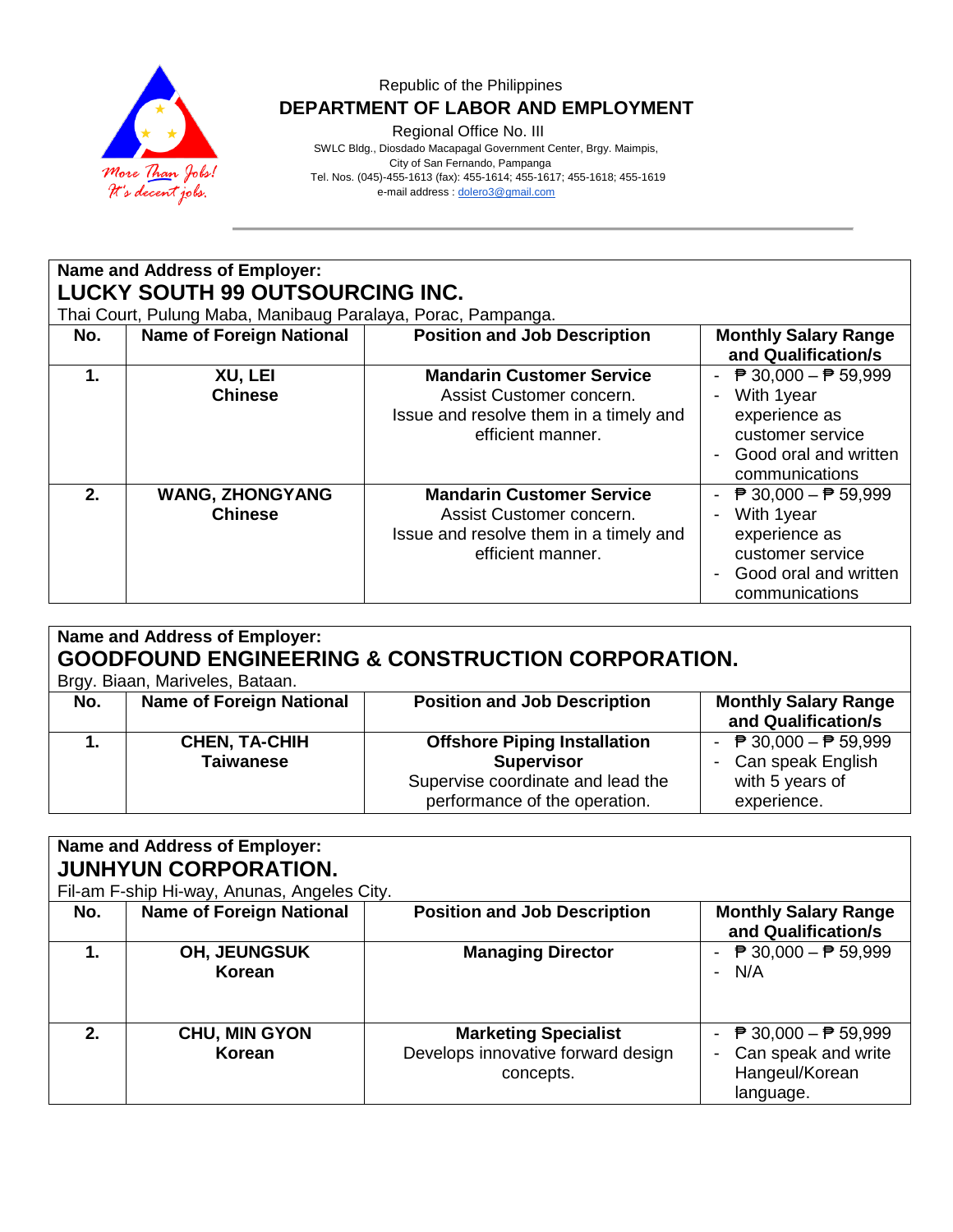

Regional Office No. III

 SWLC Bldg., Diosdado Macapagal Government Center, Brgy. Maimpis, City of San Fernando, Pampanga Tel. Nos. (045)-455-1613 (fax): 455-1614; 455-1617; 455-1618; 455-1619 e-mail address [: dolero3@gmail.com](mailto:dolero3@gmail.com)

**Name and Address of Employer: LUCKY SOUTH 99 OUTSOURCING INC.** Thai Court, Pulung Maba, Manibaug Paralaya, Porac, Pampanga. **No. Name of Foreign National Position and Job Description Monthly Salary Range and Qualification/s 1. XU, LEI Chinese Mandarin Customer Service** Assist Customer concern. Issue and resolve them in a timely and efficient manner.  $\overline{P}$  30,000  $\overline{P}$  59,999 - With 1year experience as customer service - Good oral and written communications **2. WANG, ZHONGYANG Chinese Mandarin Customer Service** Assist Customer concern. Issue and resolve them in a timely and efficient manner.  $\overline{P}$  30,000  $\overline{P}$  59,999 - With 1year experience as customer service

| Name and Address of Employer:<br><b>GOODFOUND ENGINEERING &amp; CONSTRUCTION CORPORATION.</b><br>Brgy. Biaan, Mariveles, Bataan. |                                          |                                                                                                                                |                                                                                                                                       |  |
|----------------------------------------------------------------------------------------------------------------------------------|------------------------------------------|--------------------------------------------------------------------------------------------------------------------------------|---------------------------------------------------------------------------------------------------------------------------------------|--|
| No.                                                                                                                              | <b>Name of Foreign National</b>          | <b>Position and Job Description</b>                                                                                            | <b>Monthly Salary Range</b><br>and Qualification/s                                                                                    |  |
|                                                                                                                                  | <b>CHEN, TA-CHIH</b><br><b>Taiwanese</b> | <b>Offshore Piping Installation</b><br><b>Supervisor</b><br>Supervise coordinate and lead the<br>performance of the operation. | $\overline{P}$ 30,000 − $\overline{P}$ 59,999<br>$\overline{\phantom{0}}$<br>Can speak English<br>-<br>with 5 years of<br>experience. |  |

- Good oral and written communications

| Name and Address of Employer: |                                             |                                                                                |                                                                                                       |  |  |  |
|-------------------------------|---------------------------------------------|--------------------------------------------------------------------------------|-------------------------------------------------------------------------------------------------------|--|--|--|
|                               | <b>JUNHYUN CORPORATION.</b>                 |                                                                                |                                                                                                       |  |  |  |
|                               | Fil-am F-ship Hi-way, Anunas, Angeles City. |                                                                                |                                                                                                       |  |  |  |
| No.                           | Name of Foreign National                    | <b>Position and Job Description</b>                                            | <b>Monthly Salary Range</b><br>and Qualification/s                                                    |  |  |  |
| 1.                            | <b>OH, JEUNGSUK</b><br>Korean               | <b>Managing Director</b>                                                       | - $\overline{P}$ 30,000 - $\overline{P}$ 59,999<br>$- N/A$                                            |  |  |  |
| 2.                            | <b>CHU, MIN GYON</b><br>Korean              | <b>Marketing Specialist</b><br>Develops innovative forward design<br>concepts. | - $\overline{P}$ 30,000 - $\overline{P}$ 59,999<br>Can speak and write<br>Hangeul/Korean<br>language. |  |  |  |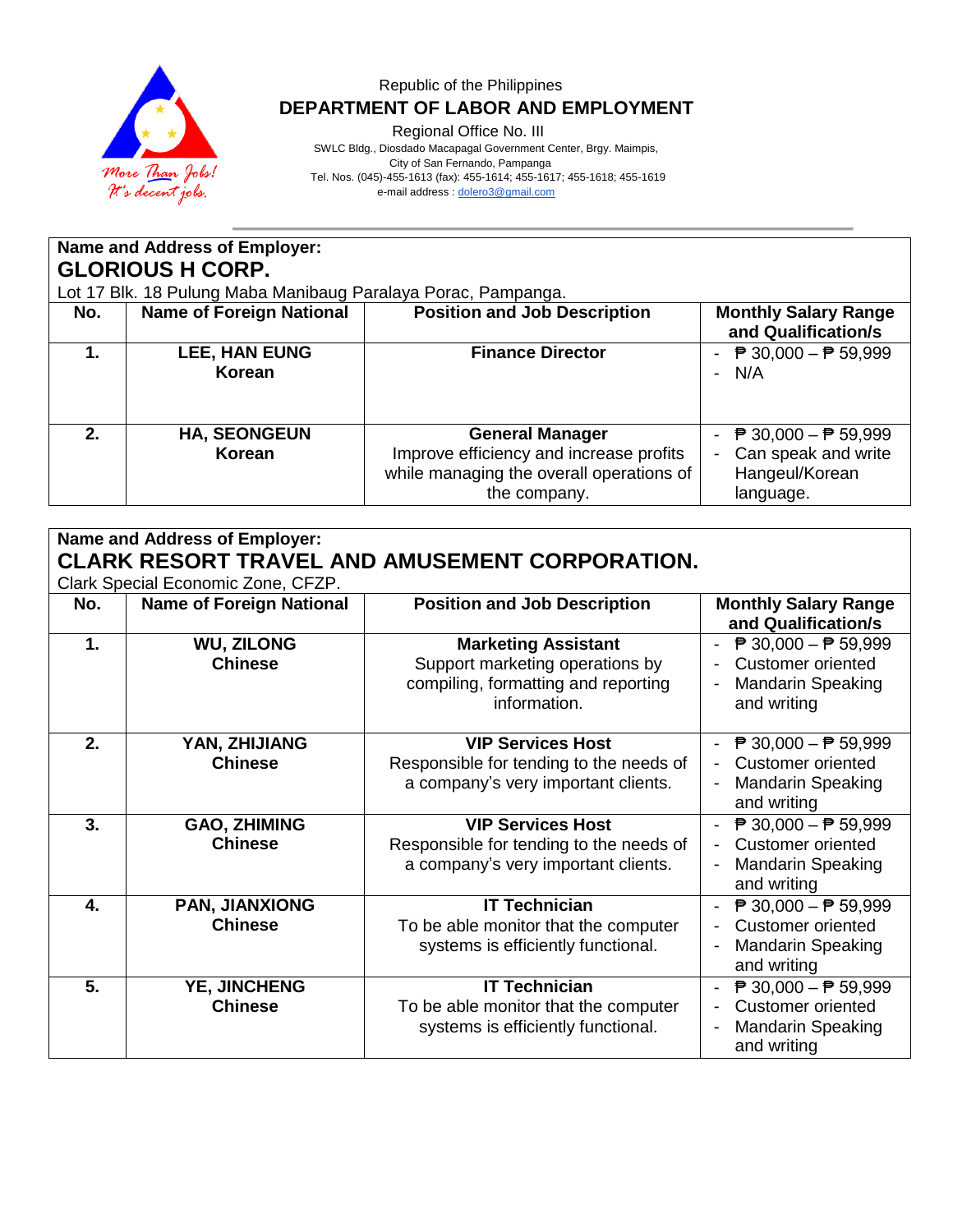

Regional Office No. III

 SWLC Bldg., Diosdado Macapagal Government Center, Brgy. Maimpis, City of San Fernando, Pampanga Tel. Nos. (045)-455-1613 (fax): 455-1614; 455-1617; 455-1618; 455-1619 e-mail address [: dolero3@gmail.com](mailto:dolero3@gmail.com)

**Name and Address of Employer: GLORIOUS H CORP.** Lot 17 Blk. 18 Pulung Maba Manibaug Paralaya Porac, Pampanga.<br> **No.** | Name of Foreign National | Position and Job Description **No. Name of Foreign National Position and Job Description | Monthly Salary Range 1. LEE, HAN EUNG**

|                                |                                                                   | and Qualification/s                                  |
|--------------------------------|-------------------------------------------------------------------|------------------------------------------------------|
| <b>LEE, HAN EUNG</b><br>Korean | <b>Finance Director</b>                                           | $\overline{P}$ 30,000 − $\overline{P}$ 59,999<br>N/A |
| <b>HA, SEONGEUN</b><br>Korean  | <b>General Manager</b><br>Improve efficiency and increase profits | ₱ 30,000 – ₱ 59,999<br>Can speak and write           |
|                                | while managing the overall operations of                          | Hangeul/Korean                                       |
|                                | the company.                                                      | language.                                            |

| Name and Address of Employer:<br><b>CLARK RESORT TRAVEL AND AMUSEMENT CORPORATION.</b> |                                       |                                                                                                                      |                                                                                                                                                  |  |
|----------------------------------------------------------------------------------------|---------------------------------------|----------------------------------------------------------------------------------------------------------------------|--------------------------------------------------------------------------------------------------------------------------------------------------|--|
|                                                                                        | Clark Special Economic Zone, CFZP.    |                                                                                                                      |                                                                                                                                                  |  |
| No.                                                                                    | <b>Name of Foreign National</b>       | <b>Position and Job Description</b>                                                                                  | <b>Monthly Salary Range</b><br>and Qualification/s                                                                                               |  |
| 1.                                                                                     | <b>WU, ZILONG</b><br><b>Chinese</b>   | <b>Marketing Assistant</b><br>Support marketing operations by<br>compiling, formatting and reporting<br>information. | $\overline{P}$ 30,000 − $\overline{P}$ 59,999<br>$\overline{\phantom{a}}$<br><b>Customer oriented</b><br><b>Mandarin Speaking</b><br>and writing |  |
| 2.                                                                                     | YAN, ZHIJIANG<br><b>Chinese</b>       | <b>VIP Services Host</b><br>Responsible for tending to the needs of<br>a company's very important clients.           | - $\overline{P}$ 30,000 - $\overline{P}$ 59,999<br><b>Customer oriented</b><br><b>Mandarin Speaking</b><br>and writing                           |  |
| 3.                                                                                     | <b>GAO, ZHIMING</b><br><b>Chinese</b> | <b>VIP Services Host</b><br>Responsible for tending to the needs of<br>a company's very important clients.           | - $\overline{P}$ 30,000 - $\overline{P}$ 59,999<br><b>Customer oriented</b><br><b>Mandarin Speaking</b><br>and writing                           |  |
| 4.                                                                                     | PAN, JIANXIONG<br><b>Chinese</b>      | <b>IT Technician</b><br>To be able monitor that the computer<br>systems is efficiently functional.                   | $\overline{P}$ 30,000 − $\overline{P}$ 59,999<br>Customer oriented<br><b>Mandarin Speaking</b><br>and writing                                    |  |
| 5.                                                                                     | YE, JINCHENG<br><b>Chinese</b>        | <b>IT Technician</b><br>To be able monitor that the computer<br>systems is efficiently functional.                   | - $\overline{P}$ 30,000 - $\overline{P}$ 59,999<br>Customer oriented<br><b>Mandarin Speaking</b><br>and writing                                  |  |